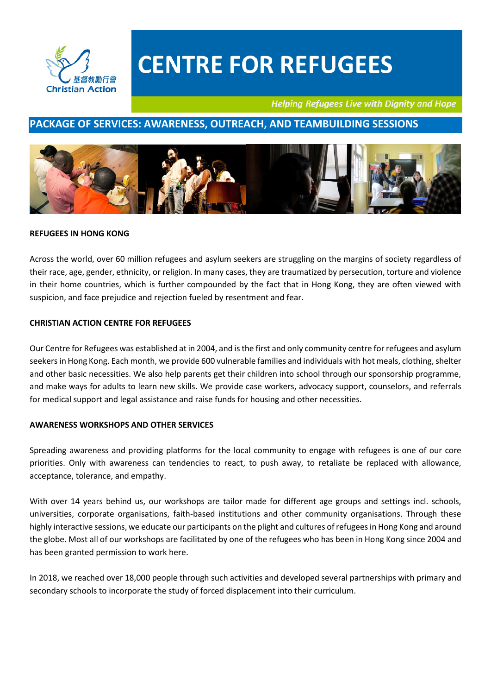

**Helping Refugees Live with Dignity and Hope** 

### **PACKAGE OF SERVICES: AWARENESS, OUTREACH, AND TEAMBUILDING SESSIONS**



#### **REFUGEES IN HONG KONG**

Across the world, over 60 million refugees and asylum seekers are struggling on the margins of society regardless of their race, age, gender, ethnicity, or religion. In many cases, they are traumatized by persecution, torture and violence in their home countries, which is further compounded by the fact that in Hong Kong, they are often viewed with suspicion, and face prejudice and rejection fueled by resentment and fear.

#### **CHRISTIAN ACTION CENTRE FOR REFUGEES**

Our Centre for Refugees was established at in 2004, and is the first and only community centre for refugees and asylum seekers in Hong Kong. Each month, we provide 600 vulnerable families and individuals with hot meals, clothing, shelter and other basic necessities. We also help parents get their children into school through our sponsorship programme, and make ways for adults to learn new skills. We provide case workers, advocacy support, counselors, and referrals for medical support and legal assistance and raise funds for housing and other necessities.

#### **AWARENESS WORKSHOPS AND OTHER SERVICES**

Spreading awareness and providing platforms for the local community to engage with refugees is one of our core priorities. Only with awareness can tendencies to react, to push away, to retaliate be replaced with allowance, acceptance, tolerance, and empathy.

With over 14 years behind us, our workshops are tailor made for different age groups and settings incl. schools, universities, corporate organisations, faith-based institutions and other community organisations. Through these highly interactive sessions, we educate our participants on the plight and cultures of refugees in Hong Kong and around the globe. Most all of our workshops are facilitated by one of the refugees who has been in Hong Kong since 2004 and has been granted permission to work here.

In 2018, we reached over 18,000 people through such activities and developed several partnerships with primary and secondary schools to incorporate the study of forced displacement into their curriculum.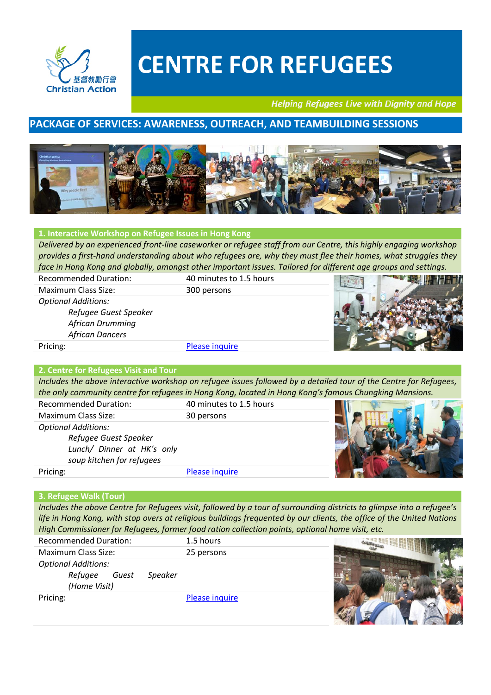

**Helping Refugees Live with Dignity and Hope** 

**PART AND PARTIES** 

### **PACKAGE OF SERVICES: AWARENESS, OUTREACH, AND TEAMBUILDING SESSIONS**



#### **1. Interactive Workshop on Refugee Issues in Hong Kong**

*Delivered by an experienced front-line caseworker or refugee staff from our Centre, this highly engaging workshop provides a first-hand understanding about who refugees are, why they must flee their homes, what struggles they face in Hong Kong and globally, amongst other important issues. Tailored for different age groups and settings.*

| <b>Recommended Duration:</b> | 40 minutes to 1.5 hours |  |
|------------------------------|-------------------------|--|
| Maximum Class Size:          | 300 persons             |  |
| <b>Optional Additions:</b>   |                         |  |
| Refugee Guest Speaker        |                         |  |
| African Drumming             |                         |  |
| <b>African Dancers</b>       |                         |  |
| Pricing:                     | Please inquire          |  |

#### **2. Centre for Refugees Visit and Tour**

*Includes the above interactive workshop on refugee issues followed by a detailed tour of the Centre for Refugees, the only community centre for refugees in Hong Kong, located in Hong Kong's famous Chungking Mansions.*

| <b>Recommended Duration:</b> | 40 minutes to 1.5 hours |  |
|------------------------------|-------------------------|--|
| <b>Maximum Class Size:</b>   | 30 persons              |  |
| <b>Optional Additions:</b>   |                         |  |
| Refugee Guest Speaker        |                         |  |
| Lunch/ Dinner at HK's only   |                         |  |
| soup kitchen for refugees    |                         |  |
| Pricing:                     | Please inquire          |  |

#### **3. Refugee Walk (Tour)**

*Includes the above Centre for Refugees visit, followed by a tour of surrounding districts to glimpse into a refugee's life in Hong Kong, with stop overs at religious buildings frequented by our clients, the office of the United Nations High Commissioner for Refugees, former food ration collection points, optional home visit, etc.* 

| <b>Recommended Duration:</b>                                              | 1.5 hours      |  |
|---------------------------------------------------------------------------|----------------|--|
| <b>Maximum Class Size:</b>                                                | 25 persons     |  |
| <b>Optional Additions:</b><br>Refugee<br>Guest<br>Speaker<br>(Home Visit) |                |  |
| Pricing:                                                                  | Please inquire |  |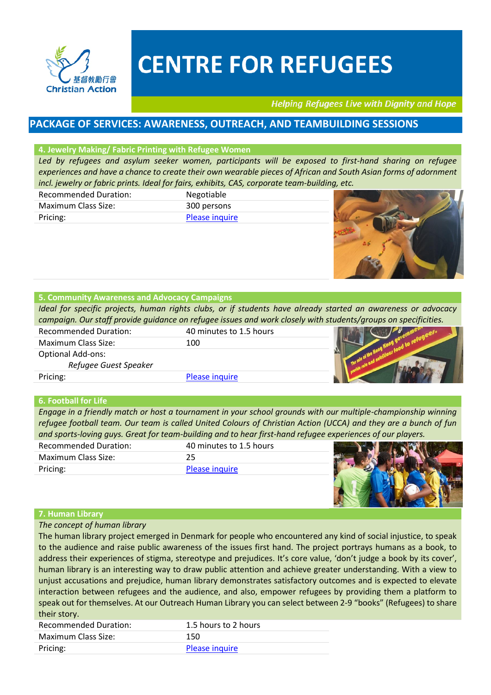

**Helping Refugees Live with Dignity and Hope** 

### **PACKAGE OF SERVICES: AWARENESS, OUTREACH, AND TEAMBUILDING SESSIONS**

#### **4. Jewelry Making/ Fabric Printing with Refugee Women**

*Led by refugees and asylum seeker women, participants will be exposed to first-hand sharing on refugee experiences and have a chance to create their own wearable pieces of African and South Asian forms of adornment incl. jewelry or fabric prints. Ideal for fairs, exhibits, CAS, corporate team-building, etc.*

| <b>Recommended Duration:</b> | Negotiable            |
|------------------------------|-----------------------|
| Maximum Class Size:          | 300 persons           |
| Pricing:                     | <b>Please inquire</b> |



#### **5. Community Awareness and Advocacy Campaigns**

*Ideal for specific projects, human rights clubs, or if students have already started an awareness or advocacy campaign. Our staff provide guidance on refugee issues and work closely with students/groups on specificities.*

| <b>Recommended Duration:</b> | 40 minutes to 1.5 hours |  |
|------------------------------|-------------------------|--|
| Maximum Class Size:          | 100                     |  |
| <b>Optional Add-ons:</b>     |                         |  |
| Refugee Guest Speaker        |                         |  |
| Pricing:                     | Please inquire          |  |

#### **6. Football for Life**

*Engage in a friendly match or host a tournament in your school grounds with our multiple-championship winning refugee football team. Our team is called United Colours of Christian Action (UCCA) and they are a bunch of fun and sports-loving guys. Great for team-building and to hear first-hand refugee experiences of our players.*

| <b>Recommended Duration:</b> | 40 minutes to 1.5 hours |  |
|------------------------------|-------------------------|--|
| <b>Maximum Class Size:</b>   |                         |  |
| Pricing:                     | Please inquire          |  |
|                              |                         |  |

#### **7. Human Library**

*The concept of human library* 

The human library project emerged in Denmark for people who encountered any kind of social injustice, to speak to the audience and raise public awareness of the issues first hand. The project portrays humans as a book, to address their experiences of stigma, stereotype and prejudices. It's core value, 'don't judge a book by its cover', human library is an interesting way to draw public attention and achieve greater understanding. With a view to unjust accusations and prejudice, human library demonstrates satisfactory outcomes and is expected to elevate interaction between refugees and the audience, and also, empower refugees by providing them a platform to speak out for themselves. At our Outreach Human Library you can select between 2-9 "books" (Refugees) to share their story.

| <b>Recommended Duration:</b> | 1.5 hours to 2 hours |
|------------------------------|----------------------|
| Maximum Class Size:          | 150                  |
| Pricing:                     | Please inquire       |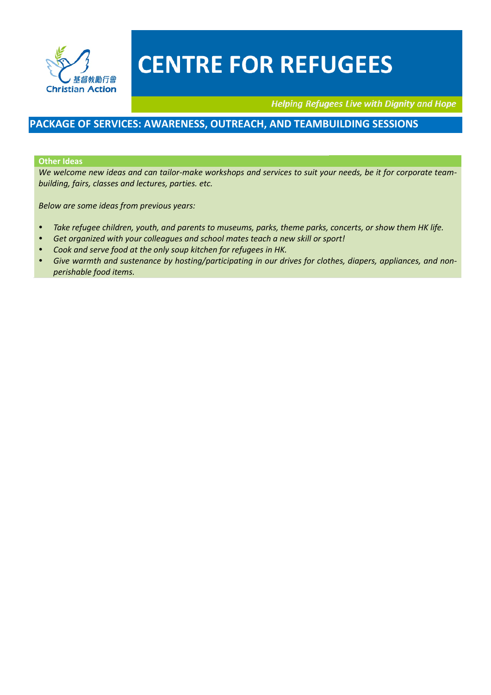

**Helping Refugees Live with Dignity and Hope** 

### **PACKAGE OF SERVICES: AWARENESS, OUTREACH, AND TEAMBUILDING SESSIONS**

#### **Other Ideas**

*We welcome new ideas and can tailor-make workshops and services to suit your needs, be it for corporate teambuilding, fairs, classes and lectures, parties. etc.* 

*Below are some ideas from previous years:* 

- *Take refugee children, youth, and parents to museums, parks, theme parks, concerts, or show them HK life.*
- *Get organized with your colleagues and school mates teach a new skill or sport!*
- *Cook and serve food at the only soup kitchen for refugees in HK.*
- *Give warmth and sustenance by hosting/participating in our drives for clothes, diapers, appliances, and nonperishable food items.*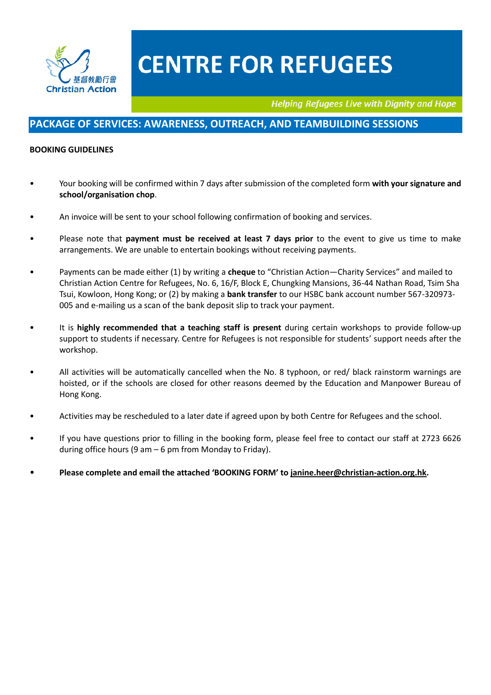

**Helping Refugees Live with Dignity and Hope** 

### **PACKAGE OF SERVICES: AWARENESS, OUTREACH, AND TEAMBUILDING SESSIONS**

#### **BOOKING GUIDELINES**

- Your booking will be confirmed within 7 days after submission of the completed form **with your signature and school/organisation chop**.
- An invoice will be sent to your school following confirmation of booking and services.
- Please note that **payment must be received at least 7 days prior** to the event to give us time to make arrangements. We are unable to entertain bookings without receiving payments.
- Payments can be made either (1) by writing a **cheque** to "Christian Action—Charity Services" and mailed to Christian Action Centre for Refugees, No. 6, 16/F, Block E, Chungking Mansions, 36-44 Nathan Road, Tsim Sha Tsui, Kowloon, Hong Kong; or (2) by making a **bank transfer** to our HSBC bank account number 567-320973- 005 and e-mailing us a scan of the bank deposit slip to track your payment.
- It is **highly recommended that a teaching staff is present** during certain workshops to provide follow-up support to students if necessary. Centre for Refugees is not responsible for students' support needs after the workshop.
- All activities will be automatically cancelled when the No. 8 typhoon, or red/ black rainstorm warnings are hoisted, or if the schools are closed for other reasons deemed by the Education and Manpower Bureau of Hong Kong.
- Activities may be rescheduled to a later date if agreed upon by both Centre for Refugees and the school.
- If you have questions prior to filling in the booking form, please feel free to contact our staff at 2723 6626 during office hours (9 am  $-6$  pm from Monday to Friday).
- **Please complete and email the attached 'BOOKING FORM' to [janine.heer@christian-action.org.hk.](mailto:janine.heer@christian-action.org.hk)**